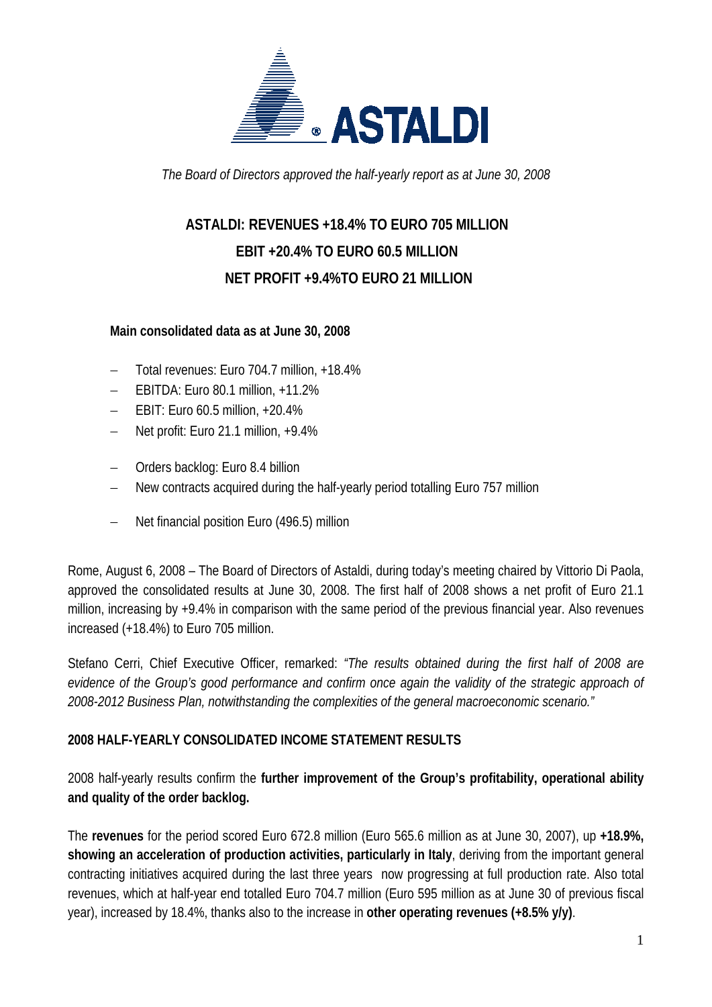

*The Board of Directors approved the half-yearly report as at June 30, 2008* 

# **ASTALDI: REVENUES +18.4% TO EURO 705 MILLION EBIT +20.4% TO EURO 60.5 MILLION NET PROFIT +9.4%TO EURO 21 MILLION**

#### **Main consolidated data as at June 30, 2008**

- − Total revenues: Euro 704.7 million, +18.4%
- − EBITDA: Euro 80.1 million, +11.2%
- − EBIT: Euro 60.5 million, +20.4%
- − Net profit: Euro 21.1 million, +9.4%
- − Orders backlog: Euro 8.4 billion
- New contracts acquired during the half-yearly period totalling Euro 757 million
- − Net financial position Euro (496.5) million

Rome, August 6, 2008 – The Board of Directors of Astaldi, during today's meeting chaired by Vittorio Di Paola, approved the consolidated results at June 30, 2008. The first half of 2008 shows a net profit of Euro 21.1 million, increasing by +9.4% in comparison with the same period of the previous financial year. Also revenues increased (+18.4%) to Euro 705 million.

Stefano Cerri, Chief Executive Officer, remarked: *"The results obtained during the first half of 2008 are evidence of the Group's good performance and confirm once again the validity of the strategic approach of 2008-2012 Business Plan, notwithstanding the complexities of the general macroeconomic scenario."*

#### **2008 HALF-YEARLY CONSOLIDATED INCOME STATEMENT RESULTS**

2008 half-yearly results confirm the **further improvement of the Group's profitability, operational ability and quality of the order backlog.**

The **revenues** for the period scored Euro 672.8 million (Euro 565.6 million as at June 30, 2007), up **+18.9%, showing an acceleration of production activities, particularly in Italy**, deriving from the important general contracting initiatives acquired during the last three years now progressing at full production rate. Also total revenues, which at half-year end totalled Euro 704.7 million (Euro 595 million as at June 30 of previous fiscal year), increased by 18.4%, thanks also to the increase in **other operating revenues (+8.5% y/y)**.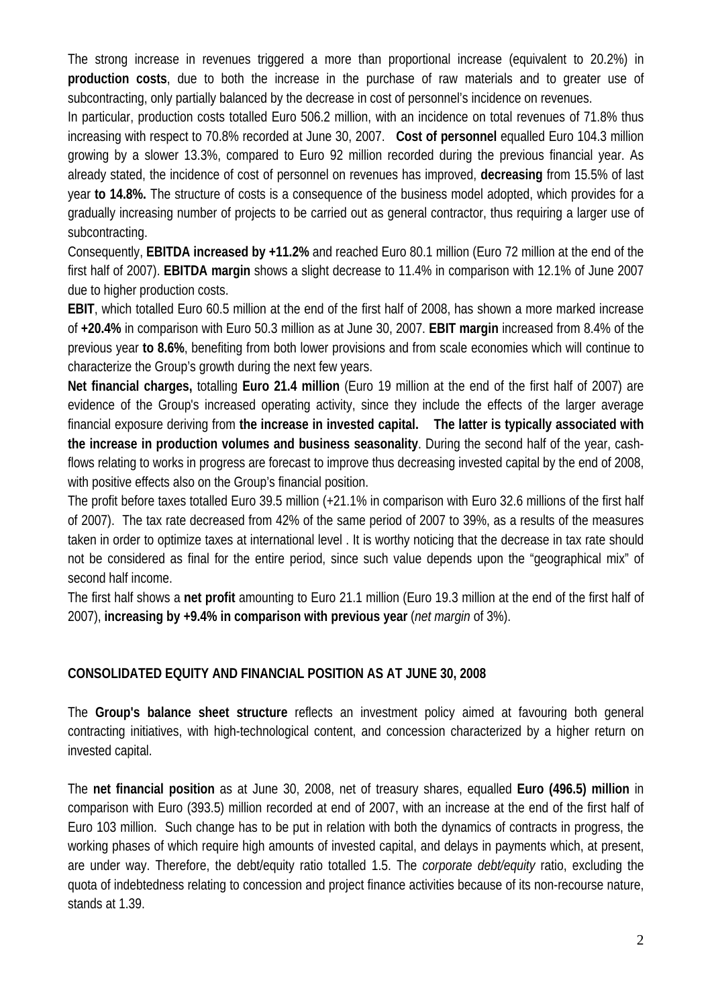The strong increase in revenues triggered a more than proportional increase (equivalent to 20.2%) in **production costs**, due to both the increase in the purchase of raw materials and to greater use of subcontracting, only partially balanced by the decrease in cost of personnel's incidence on revenues.

In particular, production costs totalled Euro 506.2 million, with an incidence on total revenues of 71.8% thus increasing with respect to 70.8% recorded at June 30, 2007. **Cost of personnel** equalled Euro 104.3 million growing by a slower 13.3%, compared to Euro 92 million recorded during the previous financial year. As already stated, the incidence of cost of personnel on revenues has improved, **decreasing** from 15.5% of last year **to 14.8%.** The structure of costs is a consequence of the business model adopted, which provides for a gradually increasing number of projects to be carried out as general contractor, thus requiring a larger use of subcontracting.

Consequently, **EBITDA increased by +11.2%** and reached Euro 80.1 million (Euro 72 million at the end of the first half of 2007). **EBITDA margin** shows a slight decrease to 11.4% in comparison with 12.1% of June 2007 due to higher production costs.

**EBIT**, which totalled Euro 60.5 million at the end of the first half of 2008, has shown a more marked increase of **+20.4%** in comparison with Euro 50.3 million as at June 30, 2007. **EBIT margin** increased from 8.4% of the previous year **to 8.6%**, benefiting from both lower provisions and from scale economies which will continue to characterize the Group's growth during the next few years.

**Net financial charges,** totalling **Euro 21.4 million** (Euro 19 million at the end of the first half of 2007) are evidence of the Group's increased operating activity, since they include the effects of the larger average financial exposure deriving from **the increase in invested capital. The latter is typically associated with the increase in production volumes and business seasonality**. During the second half of the year, cashflows relating to works in progress are forecast to improve thus decreasing invested capital by the end of 2008, with positive effects also on the Group's financial position.

The profit before taxes totalled Euro 39.5 million (+21.1% in comparison with Euro 32.6 millions of the first half of 2007). The tax rate decreased from 42% of the same period of 2007 to 39%, as a results of the measures taken in order to optimize taxes at international level . It is worthy noticing that the decrease in tax rate should not be considered as final for the entire period, since such value depends upon the "geographical mix" of second half income.

The first half shows a **net profit** amounting to Euro 21.1 million (Euro 19.3 million at the end of the first half of 2007), **increasing by +9.4% in comparison with previous year** (*net margin* of 3%).

### **CONSOLIDATED EQUITY AND FINANCIAL POSITION AS AT JUNE 30, 2008**

The **Group's balance sheet structure** reflects an investment policy aimed at favouring both general contracting initiatives, with high-technological content, and concession characterized by a higher return on invested capital.

The **net financial position** as at June 30, 2008, net of treasury shares, equalled **Euro (496.5) million** in comparison with Euro (393.5) million recorded at end of 2007, with an increase at the end of the first half of Euro 103 million. Such change has to be put in relation with both the dynamics of contracts in progress, the working phases of which require high amounts of invested capital, and delays in payments which, at present, are under way. Therefore, the debt/equity ratio totalled 1.5. The *corporate debt/equity* ratio, excluding the quota of indebtedness relating to concession and project finance activities because of its non-recourse nature, stands at 1.39.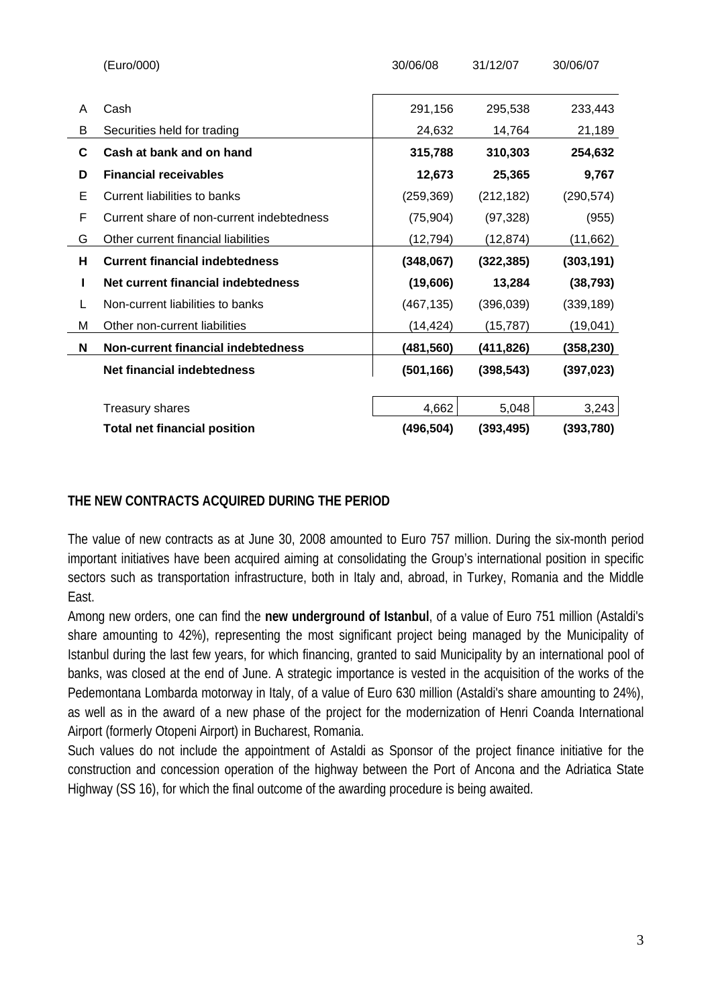|   | (Euro/000)                                | 30/06/08   | 31/12/07   | 30/06/07   |
|---|-------------------------------------------|------------|------------|------------|
|   |                                           |            |            |            |
| A | Cash                                      | 291,156    | 295,538    | 233,443    |
| В | Securities held for trading               | 24,632     | 14,764     | 21,189     |
| C | Cash at bank and on hand                  | 315,788    | 310,303    | 254,632    |
| D | <b>Financial receivables</b>              | 12,673     | 25,365     | 9,767      |
| E | Current liabilities to banks              | (259, 369) | (212, 182) | (290, 574) |
| F | Current share of non-current indebtedness | (75, 904)  | (97, 328)  | (955)      |
| G | Other current financial liabilities       | (12, 794)  | (12, 874)  | (11,662)   |
| н | <b>Current financial indebtedness</b>     | (348,067)  | (322, 385) | (303, 191) |
|   |                                           |            |            |            |
| L | Net current financial indebtedness        | (19,606)   | 13,284     | (38, 793)  |
| L | Non-current liabilities to banks          | (467, 135) | (396,039)  | (339, 189) |
| M | Other non-current liabilities             | (14, 424)  | (15, 787)  | (19,041)   |
| N | Non-current financial indebtedness        | (481,560)  | (411,826)  | (358,230)  |
|   | Net financial indebtedness                | (501, 166) | (398, 543) | (397, 023) |
|   |                                           |            |            |            |
|   | <b>Treasury shares</b>                    | 4,662      | 5,048      | 3,243      |

#### **THE NEW CONTRACTS ACQUIRED DURING THE PERIOD**

The value of new contracts as at June 30, 2008 amounted to Euro 757 million. During the six-month period important initiatives have been acquired aiming at consolidating the Group's international position in specific sectors such as transportation infrastructure, both in Italy and, abroad, in Turkey, Romania and the Middle East.

Among new orders, one can find the **new underground of Istanbul**, of a value of Euro 751 million (Astaldi's share amounting to 42%), representing the most significant project being managed by the Municipality of Istanbul during the last few years, for which financing, granted to said Municipality by an international pool of banks, was closed at the end of June. A strategic importance is vested in the acquisition of the works of the Pedemontana Lombarda motorway in Italy, of a value of Euro 630 million (Astaldi's share amounting to 24%), as well as in the award of a new phase of the project for the modernization of Henri Coanda International Airport (formerly Otopeni Airport) in Bucharest, Romania.

Such values do not include the appointment of Astaldi as Sponsor of the project finance initiative for the construction and concession operation of the highway between the Port of Ancona and the Adriatica State Highway (SS 16), for which the final outcome of the awarding procedure is being awaited.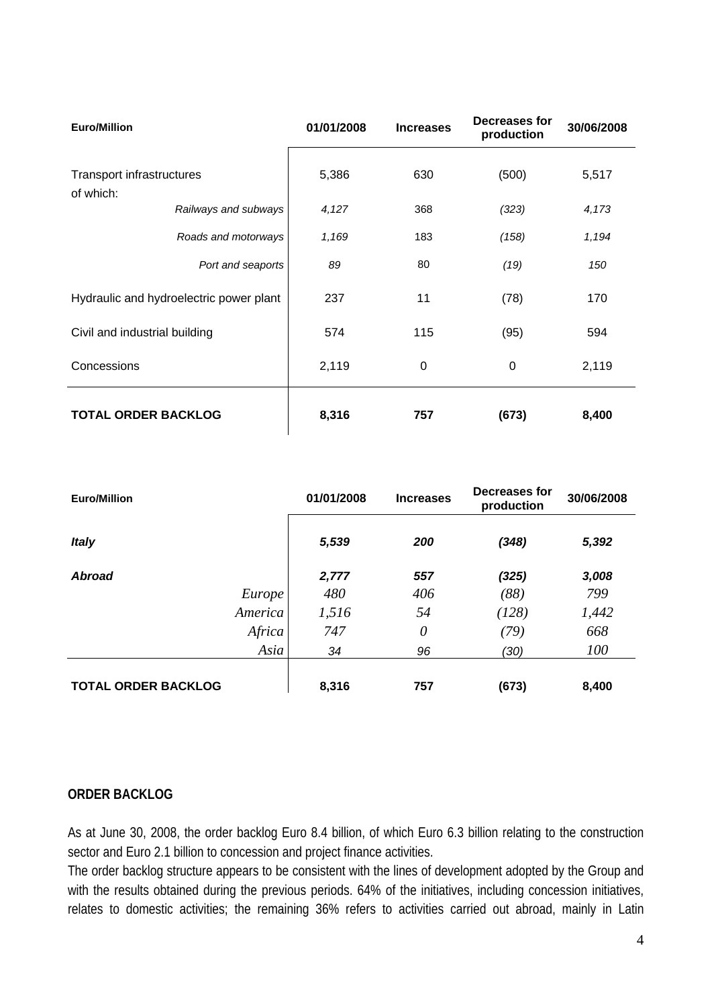| <b>Euro/Million</b>                           |                      | 01/01/2008 | <b>Increases</b> | Decreases for<br>production | 30/06/2008 |
|-----------------------------------------------|----------------------|------------|------------------|-----------------------------|------------|
| <b>Transport infrastructures</b><br>of which: |                      | 5,386      | 630              | (500)                       | 5,517      |
|                                               | Railways and subways | 4,127      | 368              | (323)                       | 4,173      |
|                                               | Roads and motorways  | 1,169      | 183              | (158)                       | 1,194      |
|                                               | Port and seaports    | 89         | 80               | (19)                        | 150        |
| Hydraulic and hydroelectric power plant       |                      | 237        | 11               | (78)                        | 170        |
| Civil and industrial building                 |                      | 574        | 115              | (95)                        | 594        |
| Concessions                                   |                      | 2,119      | 0                | $\mathbf 0$                 | 2,119      |
| <b>TOTAL ORDER BACKLOG</b>                    |                      | 8,316      | 757              | (673)                       | 8,400      |

| <b>Euro/Million</b>        | 01/01/2008 | <b>Increases</b> | Decreases for<br>production | 30/06/2008 |
|----------------------------|------------|------------------|-----------------------------|------------|
| <b>Italy</b>               | 5,539      | 200              | (348)                       | 5,392      |
| <b>Abroad</b>              | 2,777      | 557              | (325)                       | 3,008      |
| Europe                     | 480        | 406              | (88)                        | 799        |
| America                    | 1,516      | 54               | (128)                       | 1,442      |
| Africa                     | 747        | $\theta$         | (79)                        | 668        |
| Asia                       | 34         | 96               | (30)                        | 100        |
|                            |            |                  |                             |            |
| <b>TOTAL ORDER BACKLOG</b> | 8,316      | 757              | (673)                       | 8,400      |

#### **ORDER BACKLOG**

As at June 30, 2008, the order backlog Euro 8.4 billion, of which Euro 6.3 billion relating to the construction sector and Euro 2.1 billion to concession and project finance activities.

The order backlog structure appears to be consistent with the lines of development adopted by the Group and with the results obtained during the previous periods. 64% of the initiatives, including concession initiatives, relates to domestic activities; the remaining 36% refers to activities carried out abroad, mainly in Latin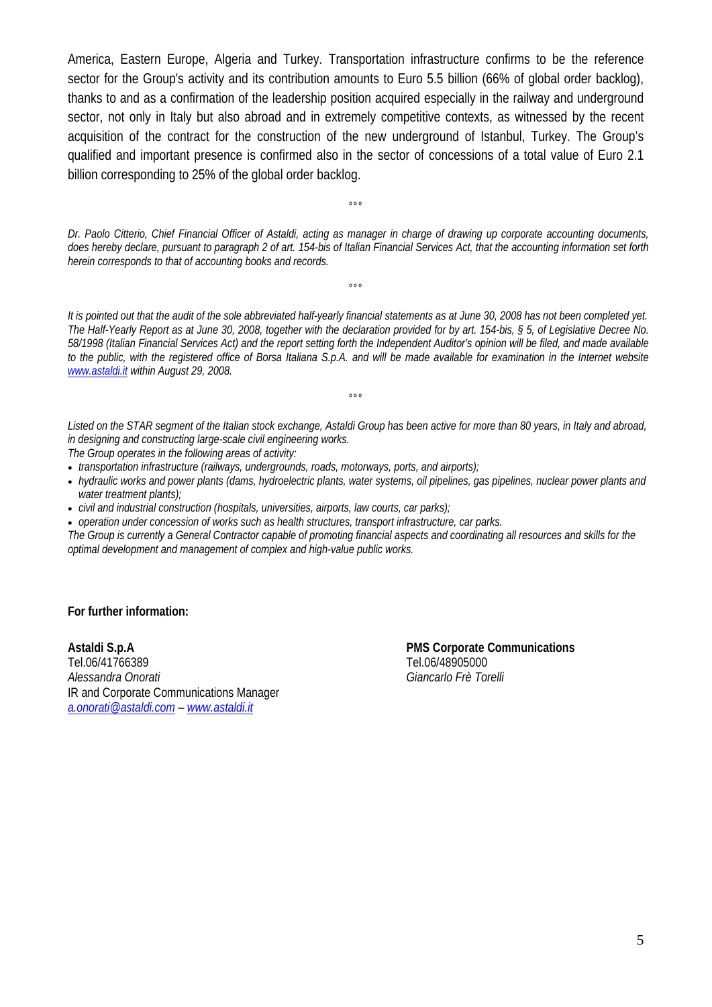America, Eastern Europe, Algeria and Turkey. Transportation infrastructure confirms to be the reference sector for the Group's activity and its contribution amounts to Euro 5.5 billion (66% of global order backlog), thanks to and as a confirmation of the leadership position acquired especially in the railway and underground sector, not only in Italy but also abroad and in extremely competitive contexts, as witnessed by the recent acquisition of the contract for the construction of the new underground of Istanbul, Turkey. The Group's qualified and important presence is confirmed also in the sector of concessions of a total value of Euro 2.1 billion corresponding to 25% of the global order backlog.

*Dr. Paolo Citterio, Chief Financial Officer of Astaldi, acting as manager in charge of drawing up corporate accounting documents, does hereby declare, pursuant to paragraph 2 of art. 154-bis of Italian Financial Services Act, that the accounting information set forth herein corresponds to that of accounting books and records.* 

 $000$ 

°°°

*It is pointed out that the audit of the sole abbreviated half-yearly financial statements as at June 30, 2008 has not been completed yet. The Half-Yearly Report as at June 30, 2008, together with the declaration provided for by art. 154-bis, § 5, of Legislative Decree No. 58/1998 (Italian Financial Services Act) and the report setting forth the Independent Auditor's opinion will be filed, and made available*  to the public, with the registered office of Borsa Italiana S.p.A. and will be made available for examination in the Internet website *www.astaldi.it within August 29, 2008.* 

*Listed on the STAR segment of the Italian stock exchange, Astaldi Group has been active for more than 80 years, in Italy and abroad, in designing and constructing large-scale civil engineering works.* 

 $^{\circ}$ 

*The Group operates in the following areas of activity:* 

• *transportation infrastructure (railways, undergrounds, roads, motorways, ports, and airports);* 

- *hydraulic works and power plants (dams, hydroelectric plants, water systems, oil pipelines, gas pipelines, nuclear power plants and water treatment plants);*
- *civil and industrial construction (hospitals, universities, airports, law courts, car parks);*

• *operation under concession of works such as health structures, transport infrastructure, car parks.* 

*The Group is currently a General Contractor capable of promoting financial aspects and coordinating all resources and skills for the optimal development and management of complex and high-value public works.* 

**For further information:** 

Tel.06/41766389 Tel.06/48905000 *Alessandra Onorati Giancarlo Frè Torelli* IR and Corporate Communications Manager *a.onorati@astaldi.com – www.astaldi.it*

**Astaldi S.p.A PMS Corporate Communications**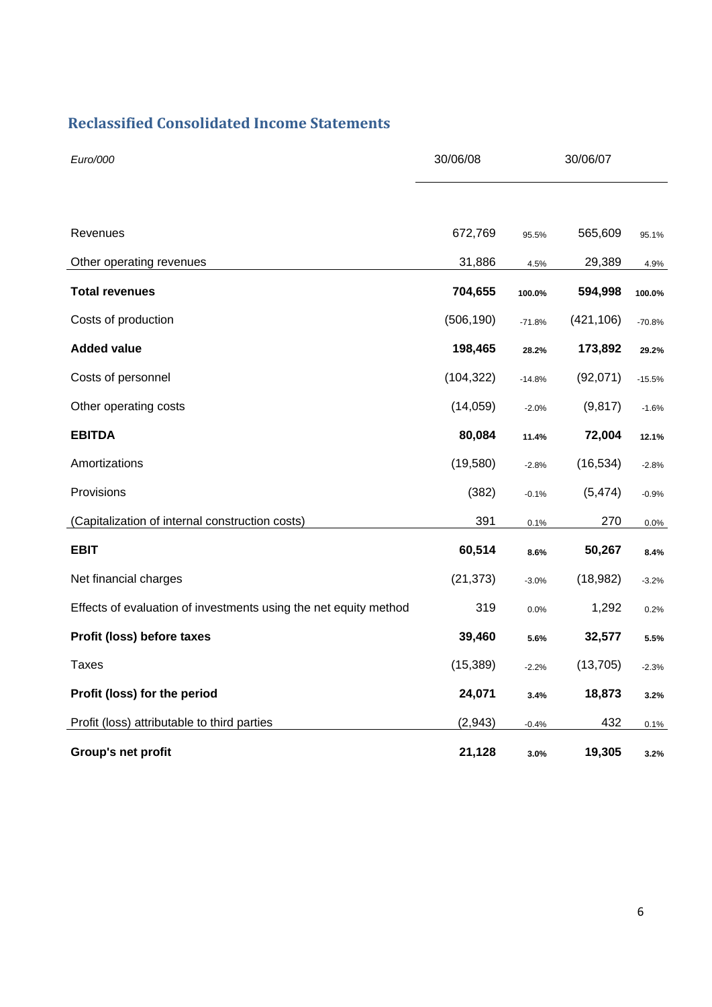### **Reclassified Consolidated Income Statements**

| Euro/000                                                         | 30/06/08   | 30/06/07 |            |          |
|------------------------------------------------------------------|------------|----------|------------|----------|
|                                                                  |            |          |            |          |
| Revenues                                                         | 672,769    | 95.5%    | 565,609    | 95.1%    |
| Other operating revenues                                         | 31,886     | 4.5%     | 29,389     | 4.9%     |
| <b>Total revenues</b>                                            | 704,655    | 100.0%   | 594,998    | 100.0%   |
| Costs of production                                              | (506, 190) | $-71.8%$ | (421, 106) | $-70.8%$ |
| <b>Added value</b>                                               | 198,465    | 28.2%    | 173,892    | 29.2%    |
| Costs of personnel                                               | (104, 322) | $-14.8%$ | (92,071)   | $-15.5%$ |
| Other operating costs                                            | (14,059)   | $-2.0%$  | (9, 817)   | $-1.6%$  |
| <b>EBITDA</b>                                                    | 80,084     | 11.4%    | 72,004     | 12.1%    |
| Amortizations                                                    | (19,580)   | $-2.8%$  | (16, 534)  | $-2.8%$  |
| Provisions                                                       | (382)      | $-0.1%$  | (5, 474)   | $-0.9%$  |
| (Capitalization of internal construction costs)                  | 391        | 0.1%     | 270        | 0.0%     |
| <b>EBIT</b>                                                      | 60,514     | 8.6%     | 50,267     | 8.4%     |
| Net financial charges                                            | (21, 373)  | $-3.0%$  | (18, 982)  | $-3.2%$  |
| Effects of evaluation of investments using the net equity method | 319        | 0.0%     | 1,292      | 0.2%     |
| Profit (loss) before taxes                                       | 39,460     | 5.6%     | 32,577     | 5.5%     |
| <b>Taxes</b>                                                     | (15, 389)  | $-2.2%$  | (13, 705)  | $-2.3%$  |
| Profit (loss) for the period                                     | 24,071     | 3.4%     | 18,873     | 3.2%     |
| Profit (loss) attributable to third parties                      | (2, 943)   | $-0.4%$  | 432        | 0.1%     |
| Group's net profit                                               | 21,128     | 3.0%     | 19,305     | 3.2%     |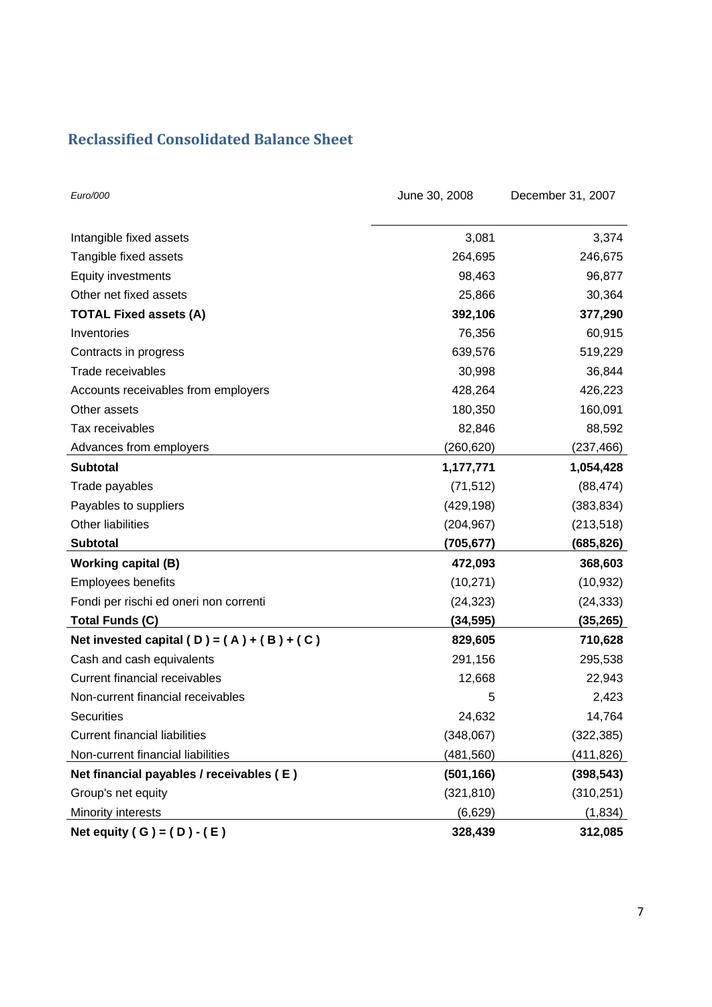### **Reclassified Consolidated Balance Sheet**

| Euro/000                                     | June 30, 2008 | December 31, 2007 |
|----------------------------------------------|---------------|-------------------|
| Intangible fixed assets                      | 3,081         | 3,374             |
| Tangible fixed assets                        | 264,695       | 246,675           |
| Equity investments                           | 98,463        | 96,877            |
| Other net fixed assets                       | 25,866        | 30,364            |
| <b>TOTAL Fixed assets (A)</b>                | 392,106       | 377,290           |
| Inventories                                  | 76,356        | 60,915            |
| Contracts in progress                        | 639,576       | 519,229           |
| Trade receivables                            | 30,998        | 36,844            |
| Accounts receivables from employers          | 428,264       | 426,223           |
| Other assets                                 | 180,350       | 160,091           |
| Tax receivables                              | 82,846        | 88,592            |
| Advances from employers                      | (260,620)     | (237, 466)        |
| <b>Subtotal</b>                              | 1,177,771     | 1,054,428         |
| Trade payables                               | (71, 512)     | (88, 474)         |
| Payables to suppliers                        | (429, 198)    | (383, 834)        |
| Other liabilities                            | (204, 967)    | (213, 518)        |
| <b>Subtotal</b>                              | (705, 677)    | (685,826)         |
| <b>Working capital (B)</b>                   | 472,093       | 368,603           |
| <b>Employees benefits</b>                    | (10, 271)     | (10, 932)         |
| Fondi per rischi ed oneri non correnti       | (24, 323)     | (24, 333)         |
| <b>Total Funds (C)</b>                       | (34, 595)     | (35,265)          |
| Net invested capital (D) = $(A) + (B) + (C)$ | 829,605       | 710,628           |
| Cash and cash equivalents                    | 291,156       | 295,538           |
| <b>Current financial receivables</b>         | 12,668        | 22,943            |
| Non-current financial receivables            | 5             | 2,423             |
| <b>Securities</b>                            | 24,632        | 14,764            |
| <b>Current financial liabilities</b>         | (348,067)     | (322, 385)        |
| Non-current financial liabilities            | (481, 560)    | (411,826)         |
| Net financial payables / receivables (E)     | (501, 166)    | (398, 543)        |
| Group's net equity                           | (321, 810)    | (310, 251)        |
| Minority interests                           | (6,629)       | (1, 834)          |
| Net equity ( G ) = $(D) - (E)$               | 328,439       | 312,085           |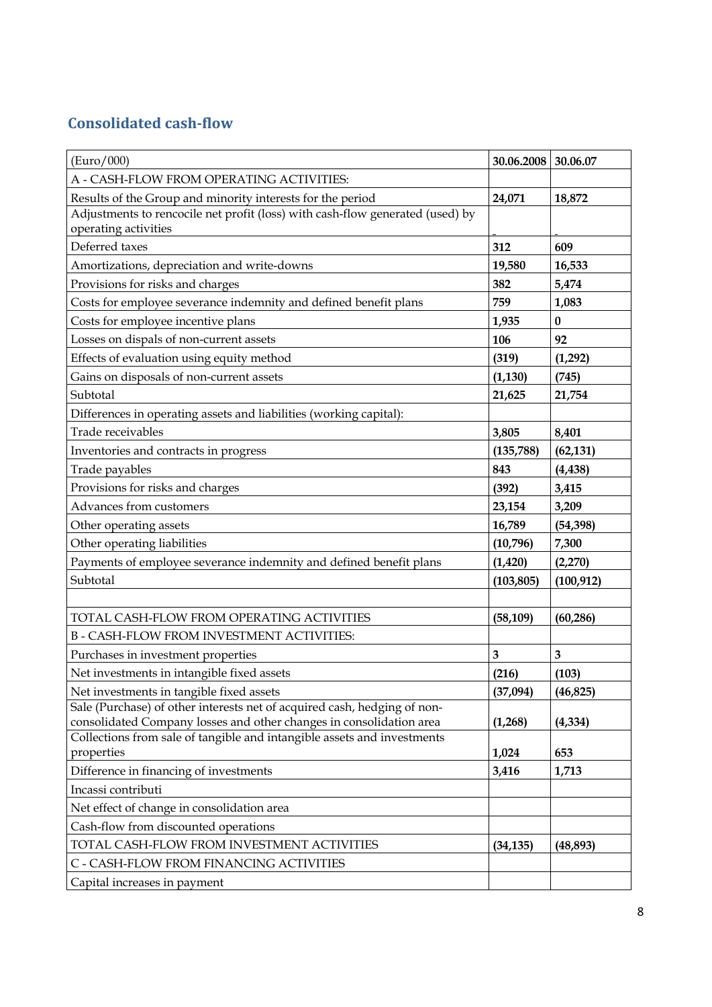## **Consolidated cashflow**

| (Euro/000)                                                                            | 30.06.2008 | 30.06.07   |
|---------------------------------------------------------------------------------------|------------|------------|
| A - CASH-FLOW FROM OPERATING ACTIVITIES:                                              |            |            |
| Results of the Group and minority interests for the period                            | 24,071     | 18,872     |
| Adjustments to rencocile net profit (loss) with cash-flow generated (used) by         |            |            |
| operating activities                                                                  |            |            |
| Deferred taxes                                                                        | 312        | 609        |
| Amortizations, depreciation and write-downs                                           | 19,580     | 16,533     |
| Provisions for risks and charges                                                      | 382        | 5,474      |
| Costs for employee severance indemnity and defined benefit plans                      | 759        | 1,083      |
| Costs for employee incentive plans                                                    | 1,935      | $\bf{0}$   |
| Losses on dispals of non-current assets                                               | 106        | 92         |
| Effects of evaluation using equity method                                             | (319)      | (1,292)    |
| Gains on disposals of non-current assets                                              | (1, 130)   | (745)      |
| Subtotal                                                                              | 21,625     | 21,754     |
| Differences in operating assets and liabilities (working capital):                    |            |            |
| Trade receivables                                                                     | 3,805      | 8,401      |
| Inventories and contracts in progress                                                 | (135, 788) | (62, 131)  |
| Trade payables                                                                        | 843        | (4, 438)   |
| Provisions for risks and charges                                                      | (392)      | 3,415      |
| Advances from customers                                                               | 23,154     | 3,209      |
| Other operating assets                                                                | 16,789     | (54, 398)  |
| Other operating liabilities                                                           | (10,796)   | 7,300      |
| Payments of employee severance indemnity and defined benefit plans                    | (1, 420)   | (2,270)    |
| Subtotal                                                                              | (103, 805) | (100, 912) |
|                                                                                       |            |            |
| TOTAL CASH-FLOW FROM OPERATING ACTIVITIES                                             | (58, 109)  | (60, 286)  |
| <b>B-CASH-FLOW FROM INVESTMENT ACTIVITIES:</b>                                        |            |            |
| Purchases in investment properties                                                    | 3          | 3          |
| Net investments in intangible fixed assets                                            | (216)      | (103)      |
| Net investments in tangible fixed assets                                              | (37,094)   | (46, 825)  |
| Sale (Purchase) of other interests net of acquired cash, hedging of non-              |            |            |
| consolidated Company losses and other changes in consolidation area                   | (1,268)    | (4, 334)   |
| Collections from sale of tangible and intangible assets and investments<br>properties | 1,024      | 653        |
| Difference in financing of investments                                                | 3,416      | 1,713      |
| Incassi contributi                                                                    |            |            |
| Net effect of change in consolidation area                                            |            |            |
| Cash-flow from discounted operations                                                  |            |            |
| TOTAL CASH-FLOW FROM INVESTMENT ACTIVITIES                                            | (34, 135)  | (48, 893)  |
| C - CASH-FLOW FROM FINANCING ACTIVITIES                                               |            |            |
| Capital increases in payment                                                          |            |            |